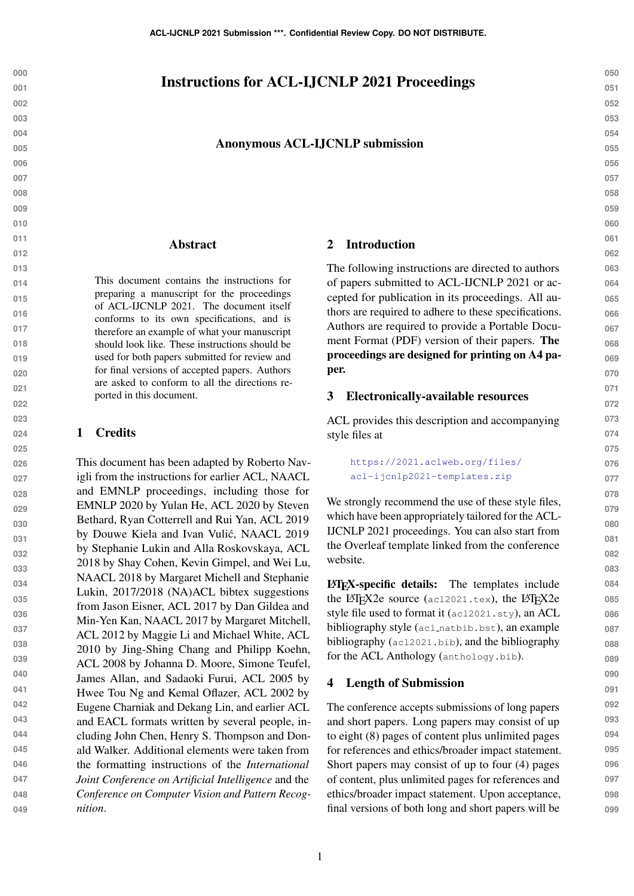# Instructions for ACL-IJCNLP 2021 Proceedings

#### Anonymous ACL-IJCNLP submission

#### Abstract

This document contains the instructions for preparing a manuscript for the proceedings of ACL-IJCNLP 2021. The document itself conforms to its own specifications, and is therefore an example of what your manuscript should look like. These instructions should be used for both papers submitted for review and for final versions of accepted papers. Authors are asked to conform to all the directions reported in this document.

#### 1 Credits

**026 027 028 029 030 031 032 033 034 035 036 037 038 039 040 041 042 043 044 045 046 047 048 049** This document has been adapted by Roberto Navigli from the instructions for earlier ACL, NAACL and EMNLP proceedings, including those for EMNLP 2020 by Yulan He, ACL 2020 by Steven Bethard, Ryan Cotterrell and Rui Yan, ACL 2019 by Douwe Kiela and Ivan Vulić, NAACL 2019 by Stephanie Lukin and Alla Roskovskaya, ACL 2018 by Shay Cohen, Kevin Gimpel, and Wei Lu, NAACL 2018 by Margaret Michell and Stephanie Lukin, 2017/2018 (NA)ACL bibtex suggestions from Jason Eisner, ACL 2017 by Dan Gildea and Min-Yen Kan, NAACL 2017 by Margaret Mitchell, ACL 2012 by Maggie Li and Michael White, ACL 2010 by Jing-Shing Chang and Philipp Koehn, ACL 2008 by Johanna D. Moore, Simone Teufel, James Allan, and Sadaoki Furui, ACL 2005 by Hwee Tou Ng and Kemal Oflazer, ACL 2002 by Eugene Charniak and Dekang Lin, and earlier ACL and EACL formats written by several people, including John Chen, Henry S. Thompson and Donald Walker. Additional elements were taken from the formatting instructions of the *International Joint Conference on Artificial Intelligence* and the *Conference on Computer Vision and Pattern Recognition*.

#### 2 Introduction

The following instructions are directed to authors of papers submitted to ACL-IJCNLP 2021 or accepted for publication in its proceedings. All authors are required to adhere to these specifications. Authors are required to provide a Portable Document Format (PDF) version of their papers. The proceedings are designed for printing on A4 paper.

#### 3 Electronically-available resources

ACL provides this description and accompanying style files at

> [https://2021.aclweb.org/files/](https://2021.aclweb.org/files/acl-ijcnlp2021-templates.zip) [acl-ijcnlp2021-templates.zip](https://2021.aclweb.org/files/acl-ijcnlp2021-templates.zip)

We strongly recommend the use of these style files, which have been appropriately tailored for the ACL-IJCNLP 2021 proceedings. You can also start from the Overleaf template linked from the conference website.

LATEX-specific details: The templates include the LAT<sub>E</sub>X2e source (ac12021.tex), the LAT<sub>E</sub>X2e style file used to format it (acl2021.sty), an ACL bibliography style (acl natbib.bst), an example bibliography (acl2021.bib), and the bibliography for the ACL Anthology (anthology.bib).

### <span id="page-0-0"></span>4 Length of Submission

The conference accepts submissions of long papers and short papers. Long papers may consist of up to eight (8) pages of content plus unlimited pages for references and ethics/broader impact statement. Short papers may consist of up to four (4) pages of content, plus unlimited pages for references and ethics/broader impact statement. Upon acceptance, final versions of both long and short papers will be

**050 051 052**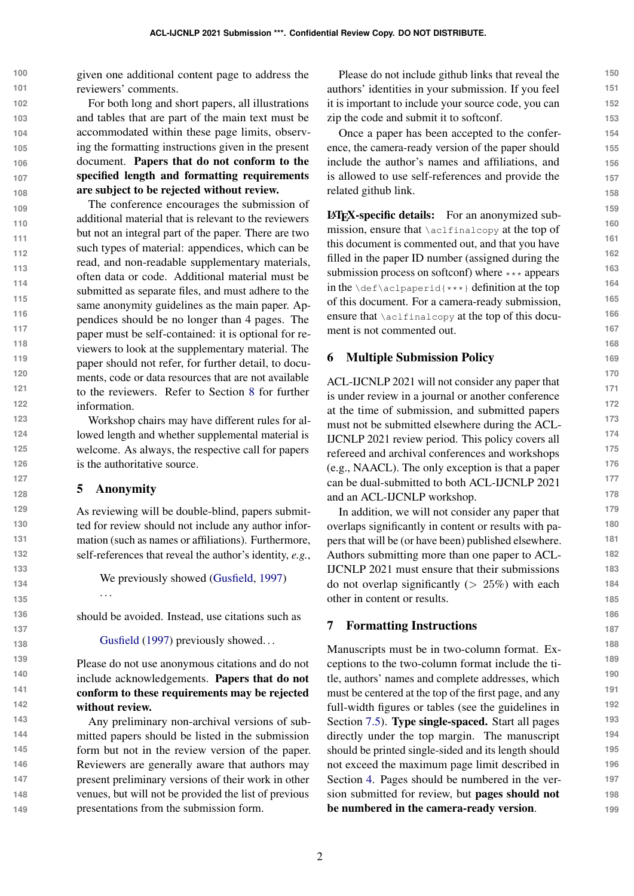**100 101** given one additional content page to address the reviewers' comments.

**102 103 104 105 106 107 108** For both long and short papers, all illustrations and tables that are part of the main text must be accommodated within these page limits, observing the formatting instructions given in the present document. Papers that do not conform to the specified length and formatting requirements are subject to be rejected without review.

**109 110 111 112 113 114 115 116 117 118 119 120 121 122 123** The conference encourages the submission of additional material that is relevant to the reviewers but not an integral part of the paper. There are two such types of material: appendices, which can be read, and non-readable supplementary materials, often data or code. Additional material must be submitted as separate files, and must adhere to the same anonymity guidelines as the main paper. Appendices should be no longer than 4 pages. The paper must be self-contained: it is optional for reviewers to look at the supplementary material. The paper should not refer, for further detail, to documents, code or data resources that are not available to the reviewers. Refer to Section [8](#page-5-0) for further information.

Workshop chairs may have different rules for allowed length and whether supplemental material is welcome. As always, the respective call for papers is the authoritative source.

## 5 Anonymity

. . .

As reviewing will be double-blind, papers submitted for review should not include any author information (such as names or affiliations). Furthermore, self-references that reveal the author's identity, *e.g.*,

We previously showed [\(Gusfield,](#page-6-0) [1997\)](#page-6-0)

should be avoided. Instead, use citations such as

[Gusfield](#page-6-0) [\(1997\)](#page-6-0) previously showed...

Please do not use anonymous citations and do not include acknowledgements. Papers that do not conform to these requirements may be rejected without review.

Any preliminary non-archival versions of submitted papers should be listed in the submission form but not in the review version of the paper. Reviewers are generally aware that authors may present preliminary versions of their work in other venues, but will not be provided the list of previous presentations from the submission form.

Please do not include github links that reveal the authors' identities in your submission. If you feel it is important to include your source code, you can zip the code and submit it to softconf.

Once a paper has been accepted to the conference, the camera-ready version of the paper should include the author's names and affiliations, and is allowed to use self-references and provide the related github link.

LATEX-specific details: For an anonymized submission, ensure that \aclfinalcopy at the top of this document is commented out, and that you have filled in the paper ID number (assigned during the submission process on softconf) where \*\*\* appears in the \def\aclpaperid{\*\*\*} definition at the top of this document. For a camera-ready submission, ensure that  $\alpha$ lfinalcopy at the top of this document is not commented out.

## 6 Multiple Submission Policy

ACL-IJCNLP 2021 will not consider any paper that is under review in a journal or another conference at the time of submission, and submitted papers must not be submitted elsewhere during the ACL-IJCNLP 2021 review period. This policy covers all refereed and archival conferences and workshops (e.g., NAACL). The only exception is that a paper can be dual-submitted to both ACL-IJCNLP 2021 and an ACL-IJCNLP workshop.

In addition, we will not consider any paper that overlaps significantly in content or results with papers that will be (or have been) published elsewhere. Authors submitting more than one paper to ACL-IJCNLP 2021 must ensure that their submissions do not overlap significantly  $(> 25%)$  with each other in content or results.

#### 7 Formatting Instructions

Manuscripts must be in two-column format. Exceptions to the two-column format include the title, authors' names and complete addresses, which must be centered at the top of the first page, and any full-width figures or tables (see the guidelines in Section [7.5\)](#page-3-0). Type single-spaced. Start all pages directly under the top margin. The manuscript should be printed single-sided and its length should not exceed the maximum page limit described in Section [4.](#page-0-0) Pages should be numbered in the version submitted for review, but pages should not be numbered in the camera-ready version.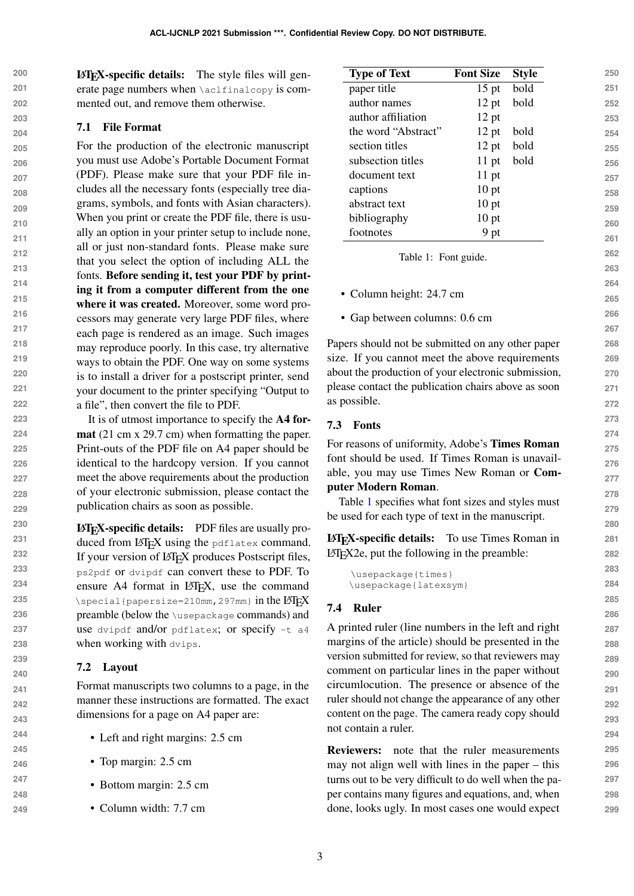**200 201** LATEX-specific details: The style files will generate page numbers when \aclfinalcopy is com-

### **202 203 204**

7.1 File Format

For the production of the electronic manuscript you must use Adobe's Portable Document Format (PDF). Please make sure that your PDF file includes all the necessary fonts (especially tree diagrams, symbols, and fonts with Asian characters). When you print or create the PDF file, there is usually an option in your printer setup to include none, all or just non-standard fonts. Please make sure that you select the option of including ALL the fonts. Before sending it, test your PDF by printing it from a computer different from the one where it was created. Moreover, some word processors may generate very large PDF files, where each page is rendered as an image. Such images may reproduce poorly. In this case, try alternative ways to obtain the PDF. One way on some systems is to install a driver for a postscript printer, send your document to the printer specifying "Output to a file", then convert the file to PDF.

mented out, and remove them otherwise.

It is of utmost importance to specify the A4 format (21 cm x 29.7 cm) when formatting the paper. Print-outs of the PDF file on A4 paper should be identical to the hardcopy version. If you cannot meet the above requirements about the production of your electronic submission, please contact the publication chairs as soon as possible.

LATEX-specific details: PDF files are usually produced from LATEX using the pdflatex command. If your version of LATEX produces Postscript files, ps2pdf or dvipdf can convert these to PDF. To ensure A4 format in LAT<sub>E</sub>X, use the command  $\text{Special}$ {papersize=210mm, 297mm} in the LAT<sub>EX</sub> preamble (below the \usepackage commands) and use dvipdf and/or pdflatex; or specify -t a4 when working with dvips.

# 7.2 Layout

Format manuscripts two columns to a page, in the manner these instructions are formatted. The exact dimensions for a page on A4 paper are:

- Left and right margins: 2.5 cm
- Top margin: 2.5 cm
- Bottom margin: 2.5 cm
- Column width: 7.7 cm

<span id="page-2-0"></span>

|                                                                                                           | <b>Type of Text</b>                                                   | <b>Font Size</b>      | <b>Style</b> | 250 |  |
|-----------------------------------------------------------------------------------------------------------|-----------------------------------------------------------------------|-----------------------|--------------|-----|--|
|                                                                                                           | paper title                                                           | $15$ pt               | bold         | 251 |  |
|                                                                                                           | author names                                                          | $12$ pt               | bold         | 252 |  |
|                                                                                                           | author affiliation                                                    | $12$ pt               |              | 253 |  |
|                                                                                                           | the word "Abstract"                                                   | 12 pt                 | bold         | 254 |  |
|                                                                                                           | section titles                                                        | $12$ pt               | bold         | 255 |  |
|                                                                                                           | subsection titles                                                     | $11$ pt               | bold         | 256 |  |
|                                                                                                           | document text                                                         | $11$ pt               |              | 257 |  |
|                                                                                                           | captions                                                              | 10 <sub>pt</sub>      |              | 258 |  |
|                                                                                                           | abstract text                                                         | 10 pt                 |              | 259 |  |
|                                                                                                           | bibliography                                                          | 10 <sub>pt</sub>      |              | 260 |  |
|                                                                                                           | footnotes                                                             | 9 pt                  |              | 261 |  |
|                                                                                                           | Table 1: Font guide.                                                  |                       |              | 262 |  |
|                                                                                                           |                                                                       |                       |              | 263 |  |
|                                                                                                           |                                                                       |                       |              | 264 |  |
|                                                                                                           | • Column height: 24.7 cm                                              |                       |              | 265 |  |
|                                                                                                           | • Gap between columns: 0.6 cm                                         |                       |              | 266 |  |
|                                                                                                           |                                                                       |                       |              | 267 |  |
|                                                                                                           | Papers should not be submitted on any other paper                     |                       |              | 268 |  |
|                                                                                                           | size. If you cannot meet the above requirements                       |                       |              | 269 |  |
|                                                                                                           | about the production of your electronic submission,                   |                       |              | 270 |  |
| please contact the publication chairs above as soon                                                       |                                                                       |                       |              |     |  |
|                                                                                                           | as possible.                                                          |                       |              | 272 |  |
| 7.3                                                                                                       | <b>Fonts</b>                                                          |                       |              | 273 |  |
|                                                                                                           |                                                                       |                       |              | 274 |  |
|                                                                                                           | For reasons of uniformity, Adobe's Times Roman                        |                       |              | 275 |  |
| font should be used. If Times Roman is unavail-<br>able, you may use Times New Roman or Com-              |                                                                       |                       |              |     |  |
|                                                                                                           | puter Modern Roman.                                                   |                       |              | 277 |  |
|                                                                                                           | Table 1 specifies what font sizes and styles must                     |                       |              | 278 |  |
|                                                                                                           | be used for each type of text in the manuscript.                      |                       |              | 279 |  |
|                                                                                                           |                                                                       |                       |              | 280 |  |
|                                                                                                           | <b>IATFX-specific details:</b>                                        | To use Times Roman in |              | 281 |  |
|                                                                                                           | L <sup>4</sup> T <sub>E</sub> X2e, put the following in the preamble: |                       |              | 282 |  |
|                                                                                                           | \usepackage{times}                                                    |                       |              | 283 |  |
|                                                                                                           | \usepackage{latexsym}                                                 |                       |              | 284 |  |
| 7.4                                                                                                       | <b>Ruler</b>                                                          |                       |              | 285 |  |
|                                                                                                           |                                                                       |                       |              | 286 |  |
| A printed ruler (line numbers in the left and right                                                       |                                                                       |                       |              |     |  |
| margins of the article) should be presented in the<br>version submitted for review, so that reviewers may |                                                                       |                       |              |     |  |
|                                                                                                           |                                                                       |                       |              | 289 |  |
| comment on particular lines in the paper without                                                          |                                                                       |                       |              |     |  |
| circumlocution. The presence or absence of the<br>ruler should not change the appearance of any other     |                                                                       |                       |              |     |  |
|                                                                                                           | content on the page. The camera ready copy should                     |                       |              | 292 |  |
|                                                                                                           |                                                                       |                       |              | 293 |  |

Reviewers: note that the ruler measurements may not align well with lines in the paper – this turns out to be very difficult to do well when the paper contains many figures and equations, and, when done, looks ugly. In most cases one would expect

not contain a ruler.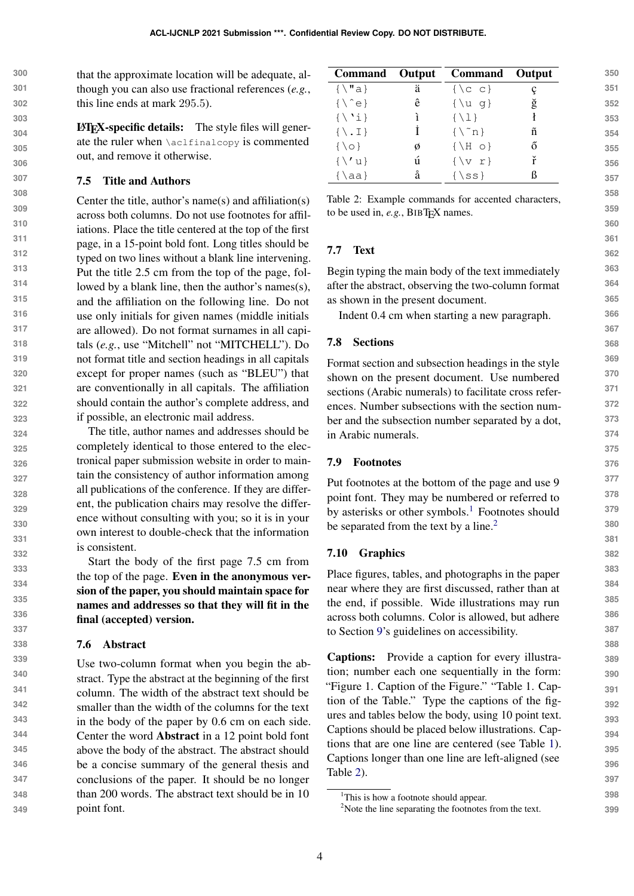**300 301 302** that the approximate location will be adequate, although you can also use fractional references (*e.g.*, this line ends at mark 295.5).

> LATEX-specific details: The style files will generate the ruler when \aclfinalcopy is commented out, and remove it otherwise.

### <span id="page-3-0"></span>7.5 Title and Authors

Center the title, author's name(s) and affiliation(s) across both columns. Do not use footnotes for affiliations. Place the title centered at the top of the first page, in a 15-point bold font. Long titles should be typed on two lines without a blank line intervening. Put the title 2.5 cm from the top of the page, followed by a blank line, then the author's names(s), and the affiliation on the following line. Do not use only initials for given names (middle initials are allowed). Do not format surnames in all capitals (*e.g.*, use "Mitchell" not "MITCHELL"). Do not format title and section headings in all capitals except for proper names (such as "BLEU") that are conventionally in all capitals. The affiliation should contain the author's complete address, and if possible, an electronic mail address.

The title, author names and addresses should be completely identical to those entered to the electronical paper submission website in order to maintain the consistency of author information among all publications of the conference. If they are different, the publication chairs may resolve the difference without consulting with you; so it is in your own interest to double-check that the information is consistent.

Start the body of the first page 7.5 cm from the top of the page. Even in the anonymous version of the paper, you should maintain space for names and addresses so that they will fit in the final (accepted) version.

## 7.6 Abstract

**339 340 341 342 343 344 345 346 347 348 349** Use two-column format when you begin the abstract. Type the abstract at the beginning of the first column. The width of the abstract text should be smaller than the width of the columns for the text in the body of the paper by 0.6 cm on each side. Center the word Abstract in a 12 point bold font above the body of the abstract. The abstract should be a concise summary of the general thesis and conclusions of the paper. It should be no longer than 200 words. The abstract text should be in 10 point font.

<span id="page-3-3"></span>

|                          |           | Command Output Command Output |   |
|--------------------------|-----------|-------------------------------|---|
| $\{\ \mathbf{u} \}$      | ä         | $\{\setminus c\ c\}$          |   |
| $\{\setminus\hat{e}\}$   | ê         | $\{\ u q\}$                   | ğ |
| $\{\ \'i\}$              | $\lambda$ | $\{\ \{1\}\$                  |   |
| $\{\ \setminus \ \bot\}$ | Ť         | $\{\n\^n n\}$                 | ñ |
| $\{0\}$                  | Ø         | $\{\ H \circ\}$               | ő |
| $\{\setminus\}$ u        | ú         | $\{v r\}$                     | ř |
| $\{\lambda a\}$          | å         | $\{$ \ss }                    |   |

Table 2: Example commands for accented characters, to be used in, *e.g.*, BIBT<sub>F</sub>X names.

## 7.7 Text

Begin typing the main body of the text immediately after the abstract, observing the two-column format as shown in the present document.

Indent 0.4 cm when starting a new paragraph.

#### 7.8 Sections

Format section and subsection headings in the style shown on the present document. Use numbered sections (Arabic numerals) to facilitate cross references. Number subsections with the section number and the subsection number separated by a dot, in Arabic numerals.

#### 7.9 Footnotes

Put footnotes at the bottom of the page and use 9 point font. They may be numbered or referred to by asterisks or other symbols.<sup>[1](#page-3-1)</sup> Footnotes should be separated from the text by a line.<sup>[2](#page-3-2)</sup>

## 7.10 Graphics

Place figures, tables, and photographs in the paper near where they are first discussed, rather than at the end, if possible. Wide illustrations may run across both columns. Color is allowed, but adhere to Section [9'](#page-5-1)s guidelines on accessibility.

Captions: Provide a caption for every illustration; number each one sequentially in the form: "Figure 1. Caption of the Figure." "Table 1. Caption of the Table." Type the captions of the figures and tables below the body, using 10 point text. Captions should be placed below illustrations. Captions that are one line are centered (see Table [1\)](#page-2-0). Captions longer than one line are left-aligned (see Table [2\)](#page-3-3).

<span id="page-3-1"></span><sup>&</sup>lt;sup>1</sup>This is how a footnote should appear.

<span id="page-3-2"></span><sup>&</sup>lt;sup>2</sup>Note the line separating the footnotes from the text.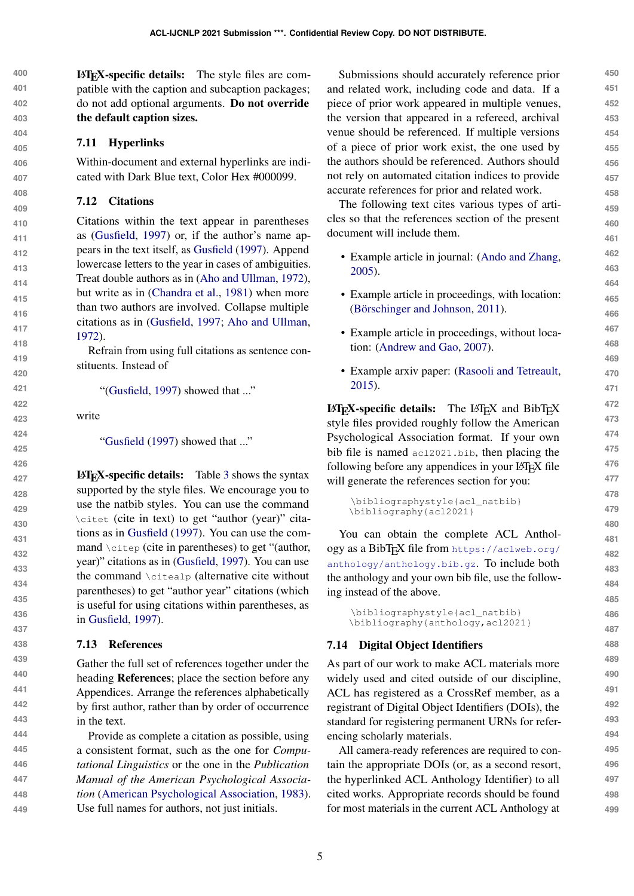**400 401 402 403** LATEX-specific details: The style files are compatible with the caption and subcaption packages; do not add optional arguments. Do not override the default caption sizes.

## 7.11 Hyperlinks

Within-document and external hyperlinks are indicated with Dark Blue text, Color Hex #000099.

## 7.12 Citations

Citations within the text appear in parentheses as [\(Gusfield,](#page-6-0) [1997\)](#page-6-0) or, if the author's name appears in the text itself, as [Gusfield](#page-6-0) [\(1997\)](#page-6-0). Append lowercase letters to the year in cases of ambiguities. Treat double authors as in [\(Aho and Ullman,](#page-6-1) [1972\)](#page-6-1), but write as in [\(Chandra et al.,](#page-6-2) [1981\)](#page-6-2) when more than two authors are involved. Collapse multiple citations as in [\(Gusfield,](#page-6-0) [1997;](#page-6-0) [Aho and Ullman,](#page-6-1) [1972\)](#page-6-1).

Refrain from using full citations as sentence constituents. Instead of

"[\(Gusfield,](#page-6-0) [1997\)](#page-6-0) showed that ..."

write

["Gusfield](#page-6-0) [\(1997\)](#page-6-0) showed that ..."

LATEX-specific details: Table [3](#page-5-2) shows the syntax supported by the style files. We encourage you to use the natbib styles. You can use the command \citet (cite in text) to get "author (year)" citations as in [Gusfield](#page-6-0) [\(1997\)](#page-6-0). You can use the command \citep (cite in parentheses) to get "(author, year)" citations as in [\(Gusfield,](#page-6-0) [1997\)](#page-6-0). You can use the command \citealp (alternative cite without parentheses) to get "author year" citations (which is useful for using citations within parentheses, as in [Gusfield,](#page-6-0) [1997\)](#page-6-0).

#### 7.13 References

**449**

Gather the full set of references together under the heading References; place the section before any Appendices. Arrange the references alphabetically by first author, rather than by order of occurrence in the text.

**448** Provide as complete a citation as possible, using a consistent format, such as the one for *Computational Linguistics* or the one in the *Publication Manual of the American Psychological Association* [\(American Psychological Association,](#page-6-3) [1983\)](#page-6-3). Use full names for authors, not just initials.

Submissions should accurately reference prior and related work, including code and data. If a piece of prior work appeared in multiple venues, the version that appeared in a refereed, archival venue should be referenced. If multiple versions of a piece of prior work exist, the one used by the authors should be referenced. Authors should not rely on automated citation indices to provide accurate references for prior and related work.

The following text cites various types of articles so that the references section of the present document will include them.

- Example article in journal: [\(Ando and Zhang,](#page-6-4) [2005\)](#page-6-4).
- Example article in proceedings, with location: (Börschinger and Johnson, [2011\)](#page-6-5).
- Example article in proceedings, without location: [\(Andrew and Gao,](#page-6-6) [2007\)](#page-6-6).
- Example arxiv paper: [\(Rasooli and Tetreault,](#page-6-7) [2015\)](#page-6-7).

 $\text{LATEX-specific details:}$  The LAT<sub>EX</sub> and BibT<sub>EX</sub> style files provided roughly follow the American Psychological Association format. If your own bib file is named acl2021.bib, then placing the following before any appendices in your LAT<sub>EX</sub> file will generate the references section for you:

```
\bibliographystyle{acl_natbib}
\bibliography{acl2021}
```
You can obtain the complete ACL Anthology as a BibTEX file from [https://aclweb.org/](https://aclweb.org/anthology/anthology.bib.gz) [anthology/anthology.bib.gz](https://aclweb.org/anthology/anthology.bib.gz). To include both the anthology and your own bib file, use the following instead of the above.

\bibliographystyle{acl\_natbib} \bibliography{anthology,acl2021}

## 7.14 Digital Object Identifiers

As part of our work to make ACL materials more widely used and cited outside of our discipline, ACL has registered as a CrossRef member, as a registrant of Digital Object Identifiers (DOIs), the standard for registering permanent URNs for referencing scholarly materials.

All camera-ready references are required to contain the appropriate DOIs (or, as a second resort, the hyperlinked ACL Anthology Identifier) to all cited works. Appropriate records should be found for most materials in the current ACL Anthology at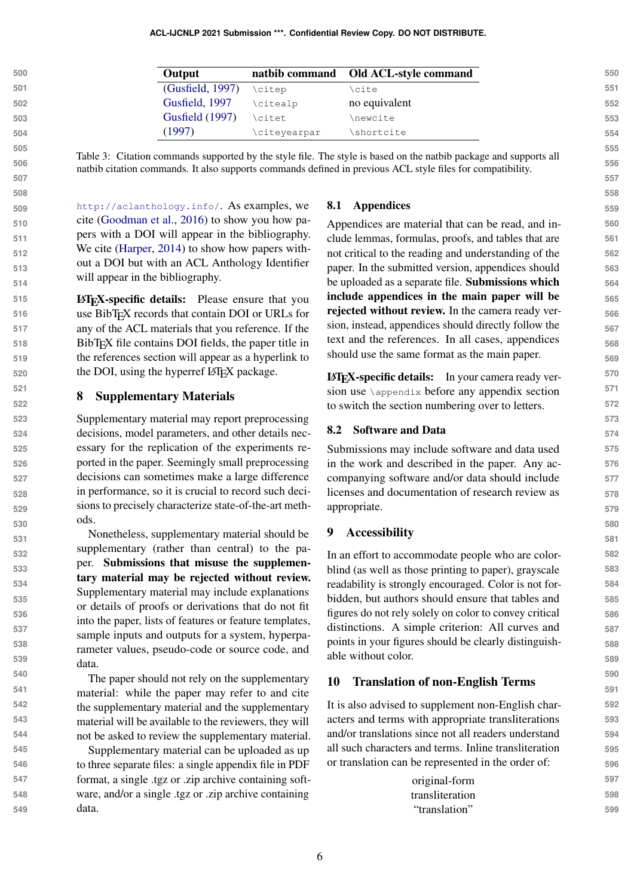<span id="page-5-2"></span>

| <b>Output</b>    |              | natbib command Old ACL-style command |
|------------------|--------------|--------------------------------------|
|                  |              |                                      |
| (Gusfield, 1997) | \citep       | \cite                                |
| Gusfield, 1997   | \citealp     | no equivalent                        |
| Gusfield (1997)  | \citet       | \newcite                             |
| (1997)           | \citeyearpar | shortcite                            |

Table 3: Citation commands supported by the style file. The style is based on the natbib package and supports all natbib citation commands. It also supports commands defined in previous ACL style files for compatibility.

<http://aclanthology.info/>. As examples, we cite [\(Goodman et al.,](#page-6-8) [2016\)](#page-6-8) to show you how papers with a DOI will appear in the bibliography. We cite [\(Harper,](#page-6-9) [2014\)](#page-6-9) to show how papers without a DOI but with an ACL Anthology Identifier will appear in the bibliography.

LATEX-specific details: Please ensure that you use BibTEX records that contain DOI or URLs for any of the ACL materials that you reference. If the BibT<sub>E</sub>X file contains DOI fields, the paper title in the references section will appear as a hyperlink to the DOI, using the hyperref LAT<sub>EX</sub> package.

## <span id="page-5-0"></span>8 Supplementary Materials

Supplementary material may report preprocessing decisions, model parameters, and other details necessary for the replication of the experiments reported in the paper. Seemingly small preprocessing decisions can sometimes make a large difference in performance, so it is crucial to record such decisions to precisely characterize state-of-the-art methods.

Nonetheless, supplementary material should be supplementary (rather than central) to the paper. Submissions that misuse the supplementary material may be rejected without review. Supplementary material may include explanations or details of proofs or derivations that do not fit into the paper, lists of features or feature templates, sample inputs and outputs for a system, hyperparameter values, pseudo-code or source code, and data.

The paper should not rely on the supplementary material: while the paper may refer to and cite the supplementary material and the supplementary material will be available to the reviewers, they will not be asked to review the supplementary material.

Supplementary material can be uploaded as up to three separate files: a single appendix file in PDF format, a single .tgz or .zip archive containing software, and/or a single .tgz or .zip archive containing data.

#### 8.1 Appendices

Appendices are material that can be read, and include lemmas, formulas, proofs, and tables that are not critical to the reading and understanding of the paper. In the submitted version, appendices should be uploaded as a separate file. Submissions which include appendices in the main paper will be rejected without review. In the camera ready version, instead, appendices should directly follow the text and the references. In all cases, appendices should use the same format as the main paper.

LATEX-specific details: In your camera ready version use \appendix before any appendix section to switch the section numbering over to letters.

#### 8.2 Software and Data

Submissions may include software and data used in the work and described in the paper. Any accompanying software and/or data should include licenses and documentation of research review as appropriate.

# <span id="page-5-1"></span>9 Accessibility

In an effort to accommodate people who are colorblind (as well as those printing to paper), grayscale readability is strongly encouraged. Color is not forbidden, but authors should ensure that tables and figures do not rely solely on color to convey critical distinctions. A simple criterion: All curves and points in your figures should be clearly distinguishable without color.

#### 10 Translation of non-English Terms

It is also advised to supplement non-English characters and terms with appropriate transliterations and/or translations since not all readers understand all such characters and terms. Inline transliteration or translation can be represented in the order of:

| original-form   | 597 |
|-----------------|-----|
| transliteration | 598 |
| "translation"   | 599 |